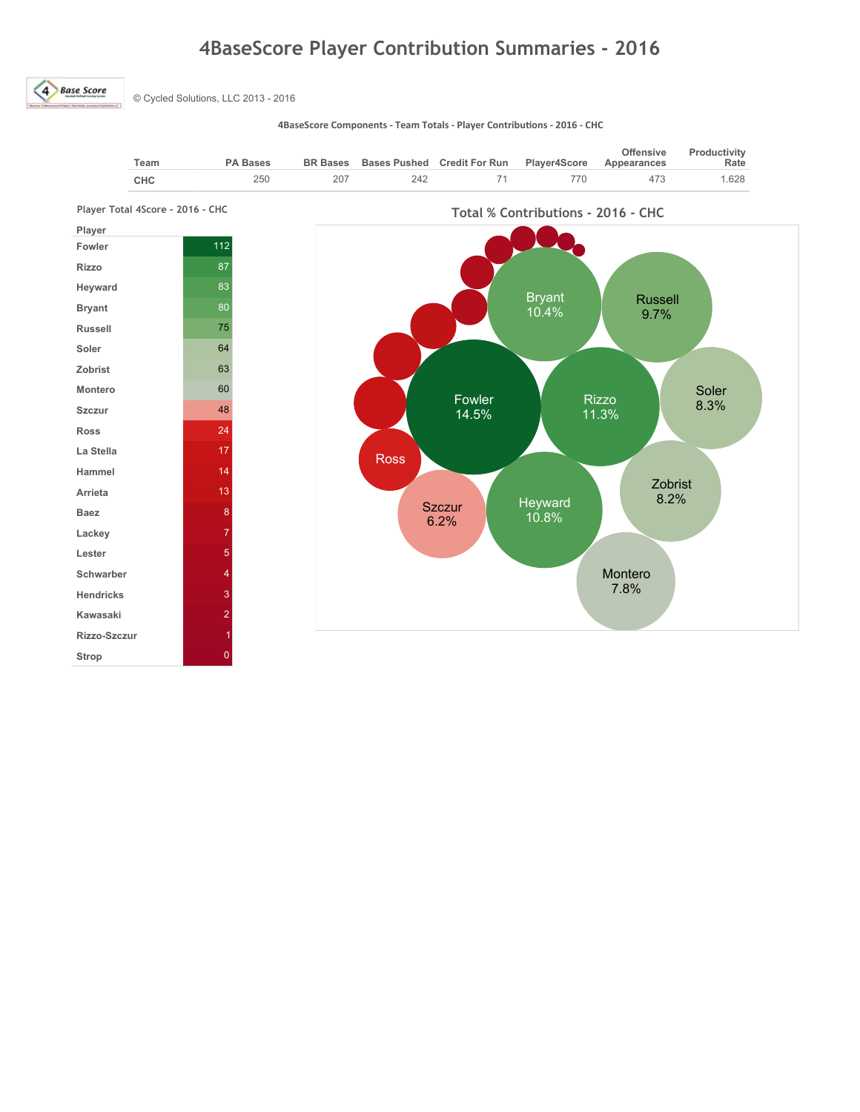## 4BaseScore Player Contribution Summaries - 2016

4 Base Score

© Cycled Solutions, LLC 2013 - 2016

4BaseScore Components - Team Totals - Player Contributions - 2016 - CHC

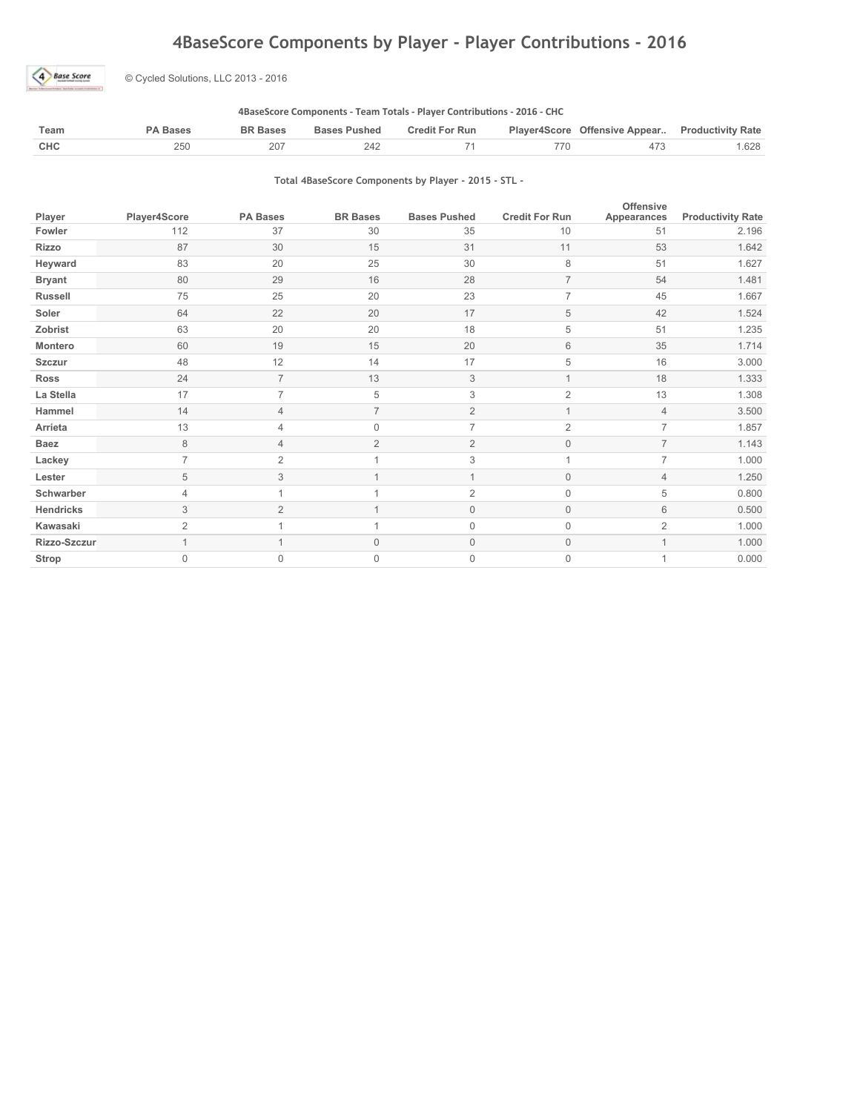### 4BaseScore Components by Player - Player Contributions - 2016



© Cycled Solutions, LLC 2013 - 2016

### 4BaseScore Components - Team Totals - Player Contributions - 2016 - CHC

| Team | PA Bases | <b>BR Bases</b> | <b>Bases Pushed</b> | <b>Credit For Run</b> | Player4Score Offensive Appear Productivity Rate |      |
|------|----------|-----------------|---------------------|-----------------------|-------------------------------------------------|------|
| CHC  | 250      | 207             | 242                 |                       |                                                 | .628 |

### Total 4BaseScore Components by Player - 2015 - STL -

| Player         | Player4Score   | <b>PA Bases</b> | <b>BR Bases</b> | <b>Bases Pushed</b> | <b>Credit For Run</b> | <b>Offensive</b><br>Appearances | <b>Productivity Rate</b> |
|----------------|----------------|-----------------|-----------------|---------------------|-----------------------|---------------------------------|--------------------------|
| Fowler         | 112            | 37              | 30              | 35                  | 10                    | 51                              | 2.196                    |
| <b>Rizzo</b>   | 87             | 30              | 15              | 31                  | 11                    | 53                              | 1.642                    |
| Heyward        | 83             | 20              | 25              | 30                  | 8                     | 51                              | 1.627                    |
| <b>Bryant</b>  | 80             | 29              | 16              | 28                  | $\overline{7}$        | 54                              | 1.481                    |
| <b>Russell</b> | 75             | 25              | 20              | 23                  | $\overline{7}$        | 45                              | 1.667                    |
| Soler          | 64             | 22              | 20              | 17                  | 5                     | 42                              | 1.524                    |
| Zobrist        | 63             | 20              | 20              | 18                  | 5                     | 51                              | 1.235                    |
| Montero        | 60             | 19              | 15              | 20                  | 6                     | 35                              | 1.714                    |
| <b>Szczur</b>  | 48             | 12              | 14              | 17                  | 5                     | 16                              | 3.000                    |
| <b>Ross</b>    | 24             | $\overline{7}$  | 13              | 3                   | $\mathbf{1}$          | 18                              | 1.333                    |
| La Stella      | 17             | $\overline{7}$  | 5               | 3                   | $\overline{2}$        | 13                              | 1.308                    |
| Hammel         | 14             | 4               |                 | $\overline{2}$      |                       | $\overline{4}$                  | 3.500                    |
| Arrieta        | 13             | 4               | $\Omega$        | $\overline{7}$      | $\overline{2}$        | $\overline{7}$                  | 1.857                    |
| <b>Baez</b>    | 8              | 4               | $\overline{2}$  | $\overline{2}$      | $\mathbf 0$           | $\overline{7}$                  | 1.143                    |
| Lackey         | $\overline{7}$ | $\overline{2}$  |                 | 3                   |                       | $\overline{7}$                  | 1.000                    |
| Lester         | 5              | 3               |                 | $\mathbf{1}$        | $\mathsf{O}\xspace$   | $\overline{4}$                  | 1.250                    |
| Schwarber      | $\overline{4}$ |                 |                 | $\overline{2}$      | $\mathsf{O}\xspace$   | 5                               | 0.800                    |
| Hendricks      | 3              | $\overline{2}$  |                 | $\mathbb O$         | $\mathsf{O}\xspace$   | 6                               | 0.500                    |
| Kawasaki       | $\overline{2}$ |                 |                 | $\mathbf 0$         | $\overline{0}$        | $\overline{2}$                  | 1.000                    |
| Rizzo-Szczur   |                |                 | $\Omega$        | $\mathbf{0}$        | 0                     |                                 | 1.000                    |
| Strop          | $\Omega$       | $\Omega$        | $\Omega$        | $\mathbf{0}$        | 0                     | 1                               | 0.000                    |